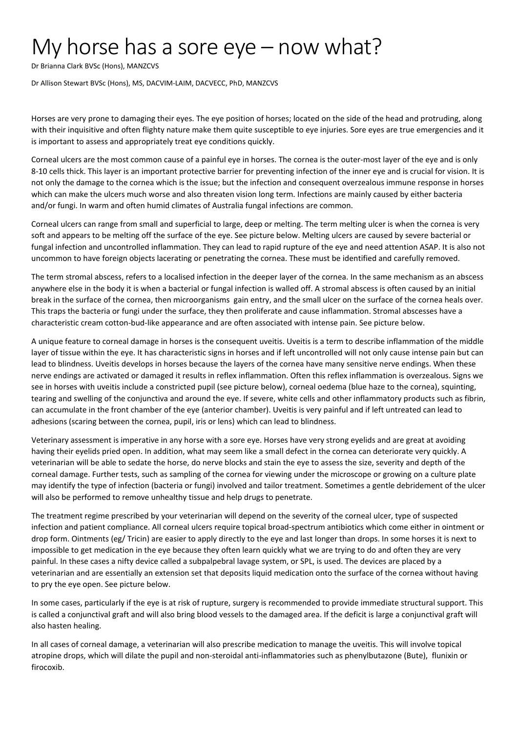## My horse has a sore eye – now what?

Dr Brianna Clark BVSc (Hons), MANZCVS

Dr Allison Stewart BVSc (Hons), MS, DACVIM-LAIM, DACVECC, PhD, MANZCVS

Horses are very prone to damaging their eyes. The eye position of horses; located on the side of the head and protruding, along with their inquisitive and often flighty nature make them quite susceptible to eye injuries. Sore eyes are true emergencies and it is important to assess and appropriately treat eye conditions quickly.

Corneal ulcers are the most common cause of a painful eye in horses. The cornea is the outer-most layer of the eye and is only 8-10 cells thick. This layer is an important protective barrier for preventing infection of the inner eye and is crucial for vision. It is not only the damage to the cornea which is the issue; but the infection and consequent overzealous immune response in horses which can make the ulcers much worse and also threaten vision long term. Infections are mainly caused by either bacteria and/or fungi. In warm and often humid climates of Australia fungal infections are common.

Corneal ulcers can range from small and superficial to large, deep or melting. The term melting ulcer is when the cornea is very soft and appears to be melting off the surface of the eye. See picture below. Melting ulcers are caused by severe bacterial or fungal infection and uncontrolled inflammation. They can lead to rapid rupture of the eye and need attention ASAP. It is also not uncommon to have foreign objects lacerating or penetrating the cornea. These must be identified and carefully removed.

The term stromal abscess, refers to a localised infection in the deeper layer of the cornea. In the same mechanism as an abscess anywhere else in the body it is when a bacterial or fungal infection is walled off. A stromal abscess is often caused by an initial break in the surface of the cornea, then microorganisms gain entry, and the small ulcer on the surface of the cornea heals over. This traps the bacteria or fungi under the surface, they then proliferate and cause inflammation. Stromal abscesses have a characteristic cream cotton-bud-like appearance and are often associated with intense pain. See picture below.

A unique feature to corneal damage in horses is the consequent uveitis. Uveitis is a term to describe inflammation of the middle layer of tissue within the eye. It has characteristic signs in horses and if left uncontrolled will not only cause intense pain but can lead to blindness. Uveitis develops in horses because the layers of the cornea have many sensitive nerve endings. When these nerve endings are activated or damaged it results in reflex inflammation. Often this reflex inflammation is overzealous. Signs we see in horses with uveitis include a constricted pupil (see picture below), corneal oedema (blue haze to the cornea), squinting, tearing and swelling of the conjunctiva and around the eye. If severe, white cells and other inflammatory products such as fibrin, can accumulate in the front chamber of the eye (anterior chamber). Uveitis is very painful and if left untreated can lead to adhesions (scaring between the cornea, pupil, iris or lens) which can lead to blindness.

Veterinary assessment is imperative in any horse with a sore eye. Horses have very strong eyelids and are great at avoiding having their eyelids pried open. In addition, what may seem like a small defect in the cornea can deteriorate very quickly. A veterinarian will be able to sedate the horse, do nerve blocks and stain the eye to assess the size, severity and depth of the corneal damage. Further tests, such as sampling of the cornea for viewing under the microscope or growing on a culture plate may identify the type of infection (bacteria or fungi) involved and tailor treatment. Sometimes a gentle debridement of the ulcer will also be performed to remove unhealthy tissue and help drugs to penetrate.

The treatment regime prescribed by your veterinarian will depend on the severity of the corneal ulcer, type of suspected infection and patient compliance. All corneal ulcers require topical broad-spectrum antibiotics which come either in ointment or drop form. Ointments (eg/ Tricin) are easier to apply directly to the eye and last longer than drops. In some horses it is next to impossible to get medication in the eye because they often learn quickly what we are trying to do and often they are very painful. In these cases a nifty device called a subpalpebral lavage system, or SPL, is used. The devices are placed by a veterinarian and are essentially an extension set that deposits liquid medication onto the surface of the cornea without having to pry the eye open. See picture below.

In some cases, particularly if the eye is at risk of rupture, surgery is recommended to provide immediate structural support. This is called a conjunctival graft and will also bring blood vessels to the damaged area. If the deficit is large a conjunctival graft will also hasten healing.

In all cases of corneal damage, a veterinarian will also prescribe medication to manage the uveitis. This will involve topical atropine drops, which will dilate the pupil and non-steroidal anti-inflammatories such as phenylbutazone (Bute), flunixin or firocoxib.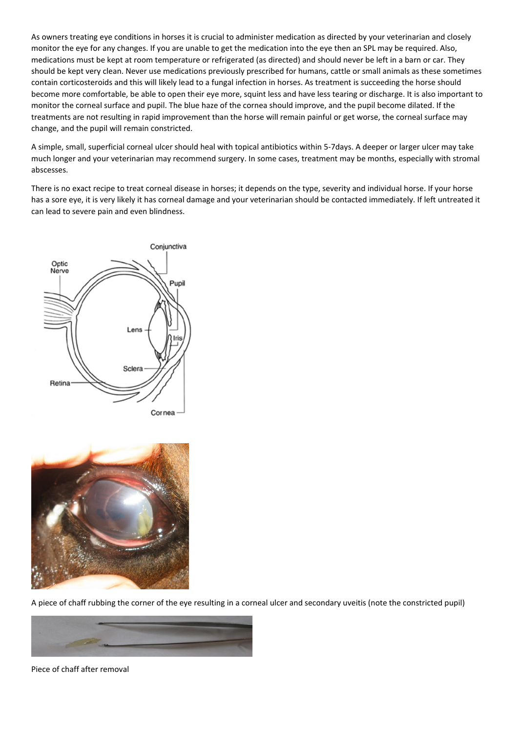As owners treating eye conditions in horses it is crucial to administer medication as directed by your veterinarian and closely monitor the eye for any changes. If you are unable to get the medication into the eye then an SPL may be required. Also, medications must be kept at room temperature or refrigerated (as directed) and should never be left in a barn or car. They should be kept very clean. Never use medications previously prescribed for humans, cattle or small animals as these sometimes contain corticosteroids and this will likely lead to a fungal infection in horses. As treatment is succeeding the horse should become more comfortable, be able to open their eye more, squint less and have less tearing or discharge. It is also important to monitor the corneal surface and pupil. The blue haze of the cornea should improve, and the pupil become dilated. If the treatments are not resulting in rapid improvement than the horse will remain painful or get worse, the corneal surface may change, and the pupil will remain constricted.

A simple, small, superficial corneal ulcer should heal with topical antibiotics within 5-7days. A deeper or larger ulcer may take much longer and your veterinarian may recommend surgery. In some cases, treatment may be months, especially with stromal abscesses.

There is no exact recipe to treat corneal disease in horses; it depends on the type, severity and individual horse. If your horse has a sore eye, it is very likely it has corneal damage and your veterinarian should be contacted immediately. If left untreated it can lead to severe pain and even blindness.





A piece of chaff rubbing the corner of the eye resulting in a corneal ulcer and secondary uveitis (note the constricted pupil)



Piece of chaff after removal